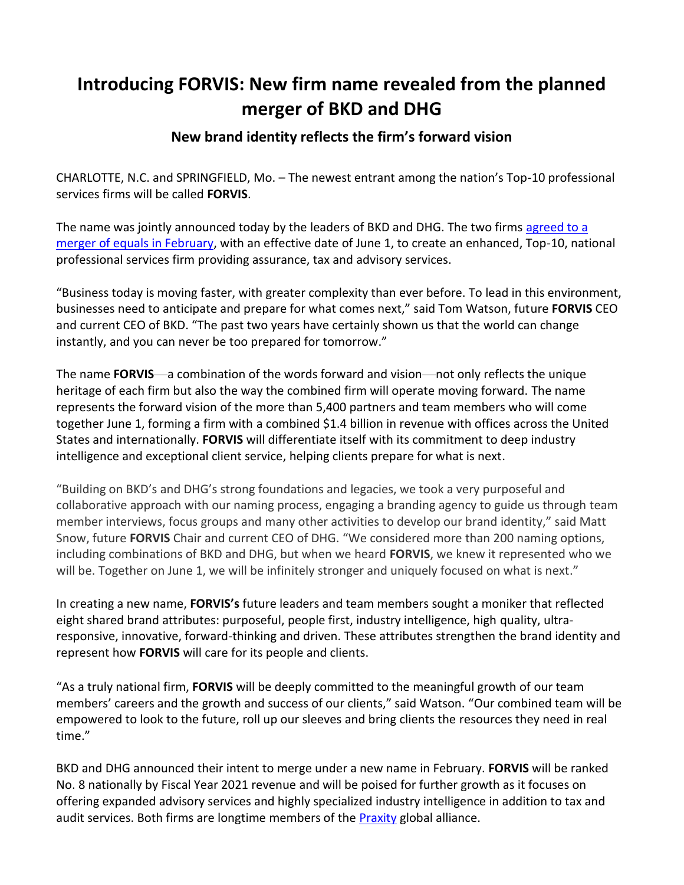# **Introducing FORVIS: New firm name revealed from the planned merger of BKD and DHG**

# **New brand identity reflects the firm's forward vision**

CHARLOTTE, N.C. and SPRINGFIELD, Mo. – The newest entrant among the nation's Top-10 professional services firms will be called **FORVIS**.

The name was jointly announced today by the leaders of BKD and DHG. The two firms agreed to a [merger of equals in February,](https://www.prnewswire.com/news-releases/two-leading-accounting-firms-join-forces-to-create-top-10-national-professional-services-firm-301484722.html) with an effective date of June 1, to create an enhanced, Top-10, national professional services firm providing assurance, tax and advisory services.

"Business today is moving faster, with greater complexity than ever before. To lead in this environment, businesses need to anticipate and prepare for what comes next," said Tom Watson, future **FORVIS** CEO and current CEO of BKD. "The past two years have certainly shown us that the world can change instantly, and you can never be too prepared for tomorrow."

The name **FORVIS**—a combination of the words forward and vision—not only reflects the unique heritage of each firm but also the way the combined firm will operate moving forward. The name represents the forward vision of the more than 5,400 partners and team members who will come together June 1, forming a firm with a combined \$1.4 billion in revenue with offices across the United States and internationally. **FORVIS** will differentiate itself with its commitment to deep industry intelligence and exceptional client service, helping clients prepare for what is next.

"Building on BKD's and DHG's strong foundations and legacies, we took a very purposeful and collaborative approach with our naming process, engaging a branding agency to guide us through team member interviews, focus groups and many other activities to develop our brand identity," said Matt Snow, future **FORVIS** Chair and current CEO of DHG. "We considered more than 200 naming options, including combinations of BKD and DHG, but when we heard **FORVIS**, we knew it represented who we will be. Together on June 1, we will be infinitely stronger and uniquely focused on what is next."

In creating a new name, **FORVIS's** future leaders and team members sought a moniker that reflected eight shared brand attributes: purposeful, people first, industry intelligence, high quality, ultraresponsive, innovative, forward-thinking and driven. These attributes strengthen the brand identity and represent how **FORVIS** will care for its people and clients.

"As a truly national firm, **FORVIS** will be deeply committed to the meaningful growth of our team members' careers and the growth and success of our clients," said Watson. "Our combined team will be empowered to look to the future, roll up our sleeves and bring clients the resources they need in real time."

BKD and DHG announced their intent to merge under a new name in February. **FORVIS** will be [ranked](https://insidepublicaccounting.com/top-firms/ipa-400/)  [No. 8 nationally](https://insidepublicaccounting.com/top-firms/ipa-400/) by Fiscal Year 2021 revenue and will be poised for further growth as it focuses on offering expanded advisory services and highly specialized industry intelligence in addition to tax and audit services. Both firms are longtime members of the [Praxity](https://www.praxity.com/) global alliance.